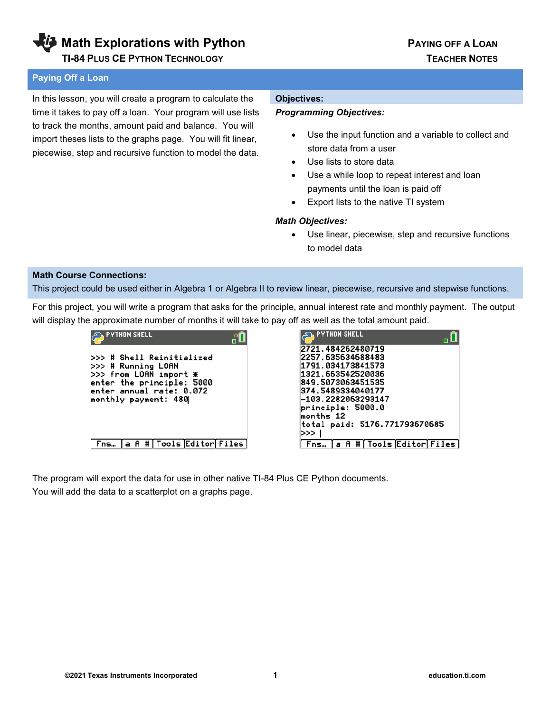**Math Explorations with Python Communist Communist PAYING OFF A LOAN** 

#### **Paying Off a Loan**

In this lesson, you will create a program to calculate the time it takes to pay off a loan. Your program will use lists to track the months, amount paid and balance. You will import theses lists to the graphs page. You will fit linear, piecewise, step and recursive function to model the data.

#### **Objectives:**

#### *Programming Objectives:*

- Use the input function and a variable to collect and store data from a user
- Use lists to store data
- Use a while loop to repeat interest and loan payments until the loan is paid off
- Export lists to the native TI system

#### *Math Objectives:*

• Use linear, piecewise, step and recursive functions to model data

#### **Math Course Connections:**

This project could be used either in Algebra 1 or Algebra II to review linear, piecewise, recursive and stepwise functions.

For this project, you will write a program that asks for the principle, annual interest rate and monthly payment. The output will display the approximate number of months it will take to pay off as well as the total amount paid.

| <b>PYTHON SHELL</b><br>пL                                                                                                                                  | <b>PYTHON SHELL</b>                                                                                                                                                                                                 |
|------------------------------------------------------------------------------------------------------------------------------------------------------------|---------------------------------------------------------------------------------------------------------------------------------------------------------------------------------------------------------------------|
| >>> # Shell Reinitialized<br>>>> # Running LOAN<br>>>> from LOAN import *<br>enter the principle: 5000<br>enter annual rate: 0.072<br>monthly payment: 480 | 2721.484262480719<br>2257.635634688483<br>1791.034173841573<br>1321.663542520036<br>849.5073063451535<br>374.5489334040177<br>-103.2282063293147<br>principle: 5000.0<br>months 12<br>total paid: 5176.771793670685 |
| Fns   a R #   Tools Editor Files                                                                                                                           | >>><br>Fns… [a A #[Tools Editor[Files]                                                                                                                                                                              |

The program will export the data for use in other native TI-84 Plus CE Python documents. You will add the data to a scatterplot on a graphs page.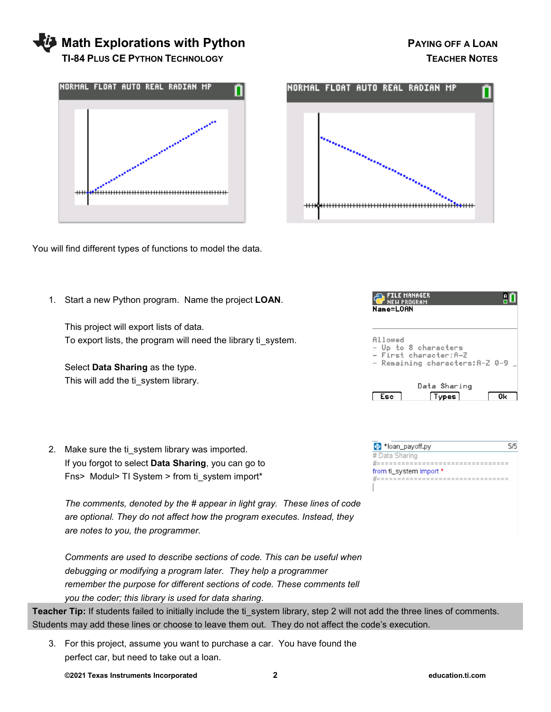# **Math Explorations with Python Community Community PAYING OFF A LOAN TI-84 PLUS CE PYTHON TECHNOLOGY TEACHER NOTES**



You will find different types of functions to model the data.



FILE MANAGER

1. Start a new Python program. Name the project **LOAN**.

This project will export lists of data. To export lists, the program will need the library ti\_system.

Select **Data Sharing** as the type. This will add the ti system library.

2. Make sure the ti system library was imported. If you forgot to select **Data Sharing**, you can go to Fns> Modul> TI System > from ti\_system import\*

*The comments, denoted by the # appear in light gray. These lines of code are optional. They do not affect how the program executes. Instead, they are notes to you, the programmer.* 

*Comments are used to describe sections of code. This can be useful when debugging or modifying a program later. They help a programmer remember the purpose for different sections of code. These comments tell you the coder; this library is used for data sharing*.

Teacher Tip: If students failed to initially include the ti system library, step 2 will not add the three lines of comments. Students may add these lines or choose to leave them out. They do not affect the code's execution.

3. For this project, assume you want to purchase a car. You have found the perfect car, but need to take out a loan.

Name=LOAN Allowed - Up to 8 characters - First character: A-Z - Remaining characters: A-Z 0-9. Data Sharing  $\Box$  Esc **Types**  $\overline{a}$ 

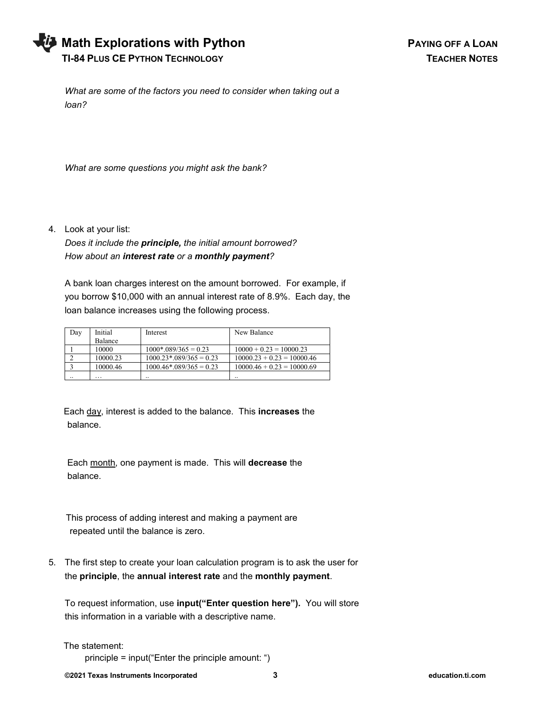| <b>Vi</b> Math Explorations with Python |
|-----------------------------------------|
| <b>TI-84 PLUS CE PYTHON TECHNOLOGY</b>  |

*What are some of the factors you need to consider when taking out a loan?* 

*What are some questions you might ask the bank?*

4. Look at your list:

*Does it include the principle, the initial amount borrowed? How about an interest rate or a monthly payment?*

A bank loan charges interest on the amount borrowed. For example, if you borrow \$10,000 with an annual interest rate of 8.9%. Each day, the loan balance increases using the following process.

| Day | Initial        | Interest                               | New Balance                  |
|-----|----------------|----------------------------------------|------------------------------|
|     | <b>Balance</b> |                                        |                              |
|     | 10000          | $1000*.089/365 = 0.23$                 | $10000 + 0.23 = 10000.23$    |
|     | 10000.23       | $1000.23$ <sup>*</sup> .089/365 = 0.23 | $10000.23 + 0.23 = 10000.46$ |
|     | 10000.46       | $1000.46*.089/365 = 0.23$              | $10000.46 + 0.23 = 10000.69$ |
|     | .              |                                        |                              |

 Each day, interest is added to the balance. This **increases** the balance.

 Each month, one payment is made. This will **decrease** the balance.

 This process of adding interest and making a payment are repeated until the balance is zero.

5. The first step to create your loan calculation program is to ask the user for the **principle**, the **annual interest rate** and the **monthly payment**.

To request information, use **input("Enter question here").** You will store this information in a variable with a descriptive name.

The statement:

principle = input("Enter the principle amount: ")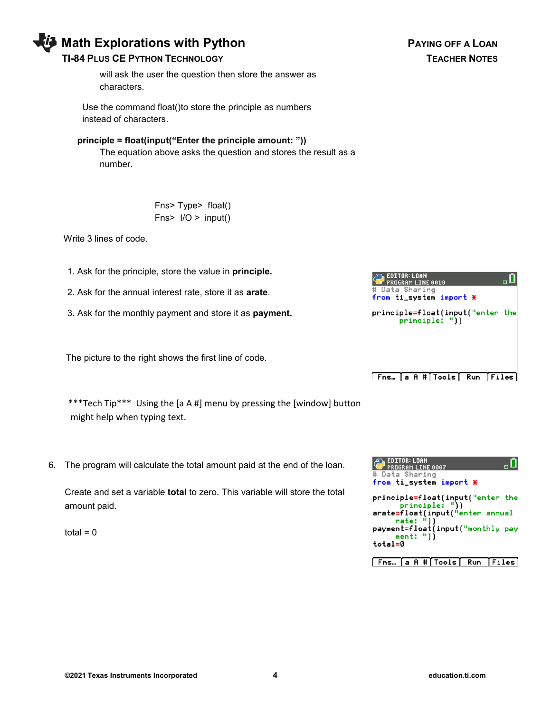# **Math Explorations with Python Community Community PAYING OFF A LOAN**

### **TI-84 PLUS CE PYTHON TECHNOLOGY TEACHER NOTES**

 will ask the user the question then store the answer as characters.

 Use the command float()to store the principle as numbers instead of characters.

### **principle = float(input("Enter the principle amount: "))**

 The equation above asks the question and stores the result as a number.

> Fns> Type> float() Fns> I/O > input()

Write 3 lines of code.

- 1. Ask for the principle, store the value in **principle.**
- 2. Ask for the annual interest rate, store it as **arate**.
- 3. Ask for the monthly payment and store it as **payment.**

The picture to the right shows the first line of code.

 \*\*\*Tech Tip\*\*\* Using the [a A #] menu by pressing the [window] button might help when typing text.

6. The program will calculate the total amount paid at the end of the loan.

Create and set a variable **total** to zero. This variable will store the total amount paid.

total  $= 0$ 



principle=float(input("enter the  $principle: "))$ 

.П

EDITOR: LOAN

PROGRAM LINE 0010 # Data Sharing

from ti\_system import \*

| <b>EDITOR: LOAN</b><br><b>PROGRAM LINE 0007</b>   |
|---------------------------------------------------|
| # Data Sharing                                    |
| from ti_system import *                           |
| principle=float(input("enter the                  |
| principle: "))<br>arate=float(input("enter annual |
| rate: "))                                         |
| payment=float(input("monthly pay<br>ment: "))     |
| total=0                                           |
|                                                   |
| Fns…  a A # Tools  Run   Files                    |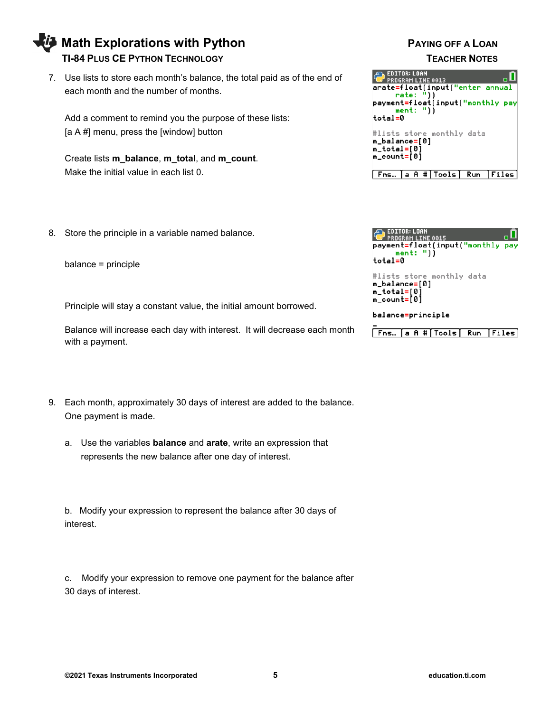# 8. Store the principle in a variable named balance.

each month and the number of months.

[a A #] menu, press the [window] button

Make the initial value in each list 0.

Create lists **m\_balance**, **m\_total**, and **m\_count**.

balance = principle

Principle will stay a constant value, the initial amount borrowed.

7. Use lists to store each month's balance, the total paid as of the end of

Add a comment to remind you the purpose of these lists:

Balance will increase each day with interest. It will decrease each month with a payment.

- 9. Each month, approximately 30 days of interest are added to the balance. One payment is made.
	- a. Use the variables **balance** and **arate**, write an expression that represents the new balance after one day of interest.

b. Modify your expression to represent the balance after 30 days of interest.

c. Modify your expression to remove one payment for the balance after 30 days of interest.

# **Math Explorations with Python Communist Communist PAYING OFF A LOAN TI-84 PLUS CE PYTHON TECHNOLOGY TEACHER NOTES**



| EDITOR: LOAN<br><b>PROGRAM LINE 0015</b><br>payment=float(input("monthly pay<br>ment: "))<br>total=0 |  |
|------------------------------------------------------------------------------------------------------|--|
| #lists store monthly data<br>m_balance=[0]<br>m_total=[0]<br>m_count=[0]                             |  |
| balance=principle                                                                                    |  |
| Fns…  a A # Tools  Run  Files                                                                        |  |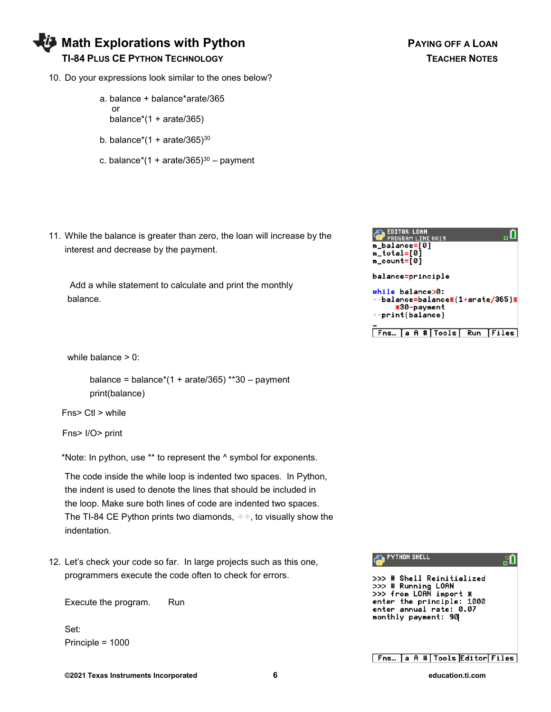

- 10. Do your expressions look similar to the ones below?
	- a. balance + balance\*arate/365 or balance $*(1 + \text{arate}/365)$
	- b. balance\* $(1 + \text{arate}/365)^{30}$
	- c. balance\*(1 + arate/365) $30 -$  payment
- 11. While the balance is greater than zero, the loan will increase by the interest and decrease by the payment.

 Add a while statement to calculate and print the monthly balance.

while balance > 0:

balance = balance $*(1 + \text{arate}/365)$  \*\*30 – payment print(balance)

Fns> Ctl > while

Fns> I/O> print

\*Note: In python, use \*\* to represent the ^ symbol for exponents.

 The code inside the while loop is indented two spaces. In Python, the indent is used to denote the lines that should be included in the loop. Make sure both lines of code are indented two spaces. The TI-84 CE Python prints two diamonds,  $\bullet\bullet$ , to visually show the indentation.

12. Let's check your code so far. In large projects such as this one, programmers execute the code often to check for errors.

Execute the program. Run

Set: Principle = 1000

**©2021 Texas Instruments Incorporated 6 education.ti.com**



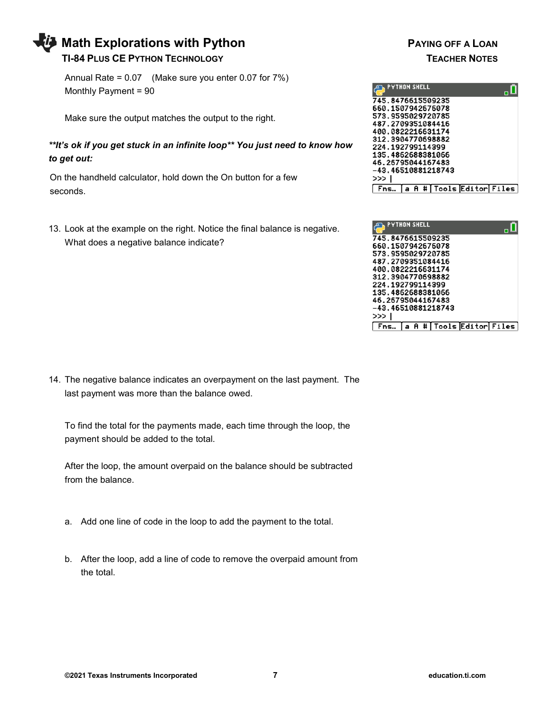# **Math Explorations with Python PAYING OFF A LOAN TI-84 PLUS CE PYTHON TECHNOLOGY TEACHER NOTES**

Annual Rate = 0.07 (Make sure you enter 0.07 for 7%) Monthly Payment = 90

Make sure the output matches the output to the right.

*\*\*It's ok if you get stuck in an infinite loop\*\* You just need to know how to get out:*

 On the handheld calculator, hold down the On button for a few seconds.

13. Look at the example on the right. Notice the final balance is negative. What does a negative balance indicate?





14. The negative balance indicates an overpayment on the last payment. The last payment was more than the balance owed.

To find the total for the payments made, each time through the loop, the payment should be added to the total.

After the loop, the amount overpaid on the balance should be subtracted from the balance.

- a. Add one line of code in the loop to add the payment to the total.
- b. After the loop, add a line of code to remove the overpaid amount from the total.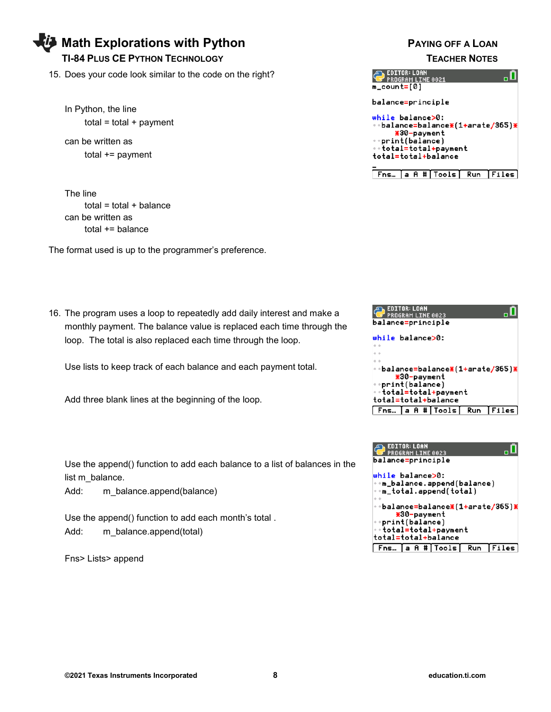# **Math Explorations with Python Communist Communist PAYING OFF A LOAN**

#### **TI-84 PLUS CE PYTHON TECHNOLOGY TEACHER NOTES**

15. Does your code look similar to the code on the right?

In Python, the line  $total = total + payment$ 

can be written as total += payment

The line  $total = total + balance$ can be written as total += balance

The format used is up to the programmer's preference.

16. The program uses a loop to repeatedly add daily interest and make a monthly payment. The balance value is replaced each time through the loop. The total is also replaced each time through the loop.

Use lists to keep track of each balance and each payment total.

Add three blank lines at the beginning of the loop.

Use the append() function to add each balance to a list of balances in the list m\_balance.

Add: m balance.append(balance)

Use the append() function to add each month's total . Add: m\_balance.append(total)

Fns> Lists> append

| EDITOR: LOAN<br><b>PROGRAM LINE 0021</b><br>m_count=[0]                                                                              |
|--------------------------------------------------------------------------------------------------------------------------------------|
| balance=principle                                                                                                                    |
| while balance>0:<br>÷balance=balance⋇(1+arate/365)⋇<br>*30-payment<br>print(balance)<br>∘∘total=total+payment<br>total=total+balance |
| #IToolsI<br>A<br>Run<br>Fns…                                                                                                         |

| EDITOR: LOAN<br>PROGRAM LINE 0023               |
|-------------------------------------------------|
| balance=principle                               |
| while balance>0:                                |
|                                                 |
| ∘balance=balance⋇(1+arate/365)⋇<br>*30-payment  |
| $\cdot$ print(balance)<br>∘∘total=total+payment |
| total=total+balance                             |
| [Fns… [a A #[Tools] Run [Files]                 |

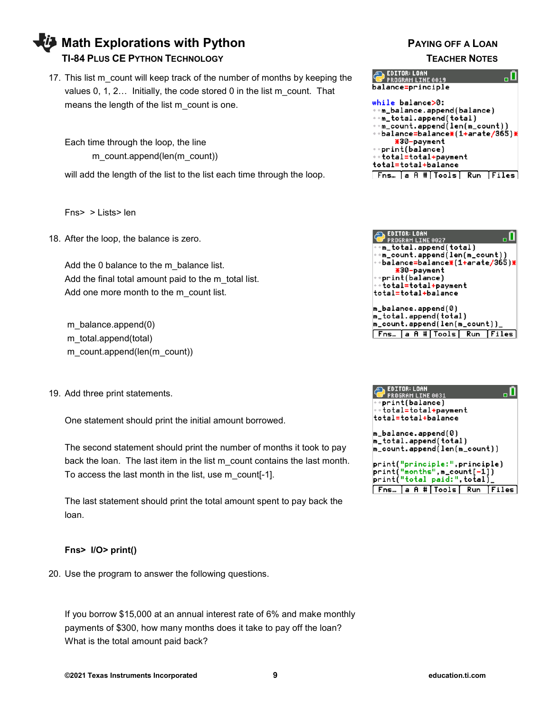# **Math Explorations with Python Community Community PAYING OFF A LOAN TI-84 PLUS CE PYTHON TECHNOLOGY TEACHER NOTES**

17. This list m\_count will keep track of the number of months by keeping the values 0, 1, 2… Initially, the code stored 0 in the list m\_count. That means the length of the list m\_count is one.

Each time through the loop, the line m\_count.append(len(m\_count))

will add the length of the list to the list each time through the loop.

Fns> > Lists> len

18. After the loop, the balance is zero.

Add the 0 balance to the m\_balance list. Add the final total amount paid to the m\_total list. Add one more month to the m\_count list.

m\_balance.append(0) m\_total.append(total) m\_count.append(len(m\_count))

19. Add three print statements.

One statement should print the initial amount borrowed.

The second statement should print the number of months it took to pay back the loan. The last item in the list m\_count contains the last month. To access the last month in the list, use m\_count[-1].

The last statement should print the total amount spent to pay back the loan.

#### **Fns> I/O> print()**

20. Use the program to answer the following questions.

If you borrow \$15,000 at an annual interest rate of 6% and make monthly payments of \$300, how many months does it take to pay off the loan? What is the total amount paid back?

|                                                        | EDITOR: LOAN<br>PROGRAM LINE 0019 |                                |  |                                                   |
|--------------------------------------------------------|-----------------------------------|--------------------------------|--|---------------------------------------------------|
| balance=principle                                      |                                   |                                |  |                                                   |
| while balance>0:                                       |                                   |                                |  |                                                   |
| $m\_balance.append(balance)$<br>⊕m_total.append(total) |                                   |                                |  |                                                   |
|                                                        |                                   |                                |  |                                                   |
|                                                        |                                   | ·•m_count.append(len(m_count)) |  |                                                   |
|                                                        |                                   |                                |  | ∘⇒balance=balance <b>*(1+</b> arate/365) <b>*</b> |
|                                                        | <b>*30-payment</b>                |                                |  |                                                   |
|                                                        | *print(balance)                   |                                |  |                                                   |
| ∘÷total=total+payment                                  |                                   |                                |  |                                                   |
| total=total+balance                                    |                                   |                                |  |                                                   |
|                                                        |                                   | Fns… a A # Tools  Run          |  | [Files                                            |



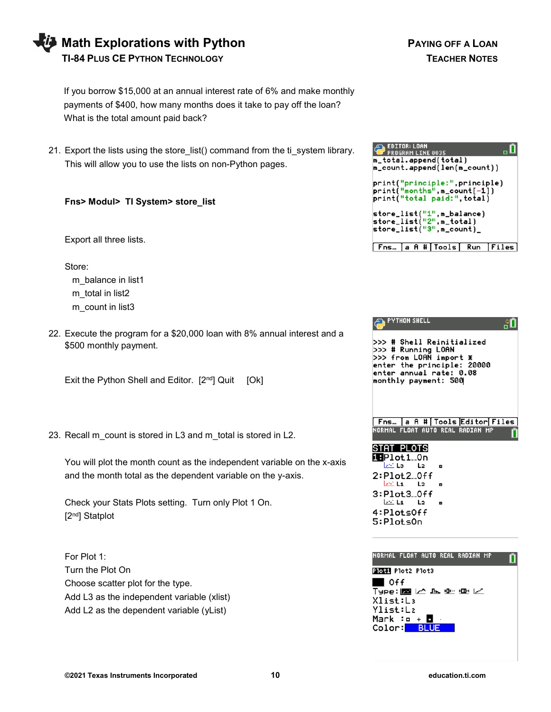| <b>Vi</b> Math Explorations with Pythor |
|-----------------------------------------|
| <b>TI-84 PLUS CE PYTHON TECHNOLOGY</b>  |

If you borrow \$15,000 at an annual interest rate of 6% and make monthly payments of \$400, how many months does it take to pay off the loan? What is the total amount paid back?

21. Export the lists using the store\_list() command from the ti\_system library. This will allow you to use the lists on non-Python pages.

#### **Fns> Modul> TI System> store\_list**

Export all three lists.

Store:

m balance in list1 m\_total in list2 m\_count in list3

22. Execute the program for a \$20,000 loan with 8% annual interest and a \$500 monthly payment.

Exit the Python Shell and Editor.  $[2^{nd}]$  Quit  $[Ok]$ 

23. Recall m\_count is stored in L3 and m\_total is stored in L2.

You will plot the month count as the independent variable on the x-axis and the month total as the dependent variable on the y-axis.

Check your Stats Plots setting. Turn only Plot 1 On. [2nd] Statplot

For Plot 1: Turn the Plot On Choose scatter plot for the type. Add L3 as the independent variable (xlist) Add L2 as the dependent variable (yList)

| <b>EDITOR: LOAN</b><br>PROGRAM LINE 0035                                                   |
|--------------------------------------------------------------------------------------------|
| m_total.append(total)                                                                      |
| m_count.append(len(m_count))                                                               |
| print("principle:",principle)<br>print("months",m_count[-1])<br>print("total paid:".total) |
| store_list("1",m_balance)<br>store_list("2",m_total)<br>store_list("3".m_count)_           |
| <b>Fns… a A # Tools Run Files</b>                                                          |

| <b>PYTHON SHELL</b>                                                                                                                                           |
|---------------------------------------------------------------------------------------------------------------------------------------------------------------|
| >>> # Shell Reinitialized<br>>>> # Running LOAN<br>>>> from LOAN import<br>業<br>enter the principle: 20000<br>enter annual rate: 0.08<br>monthly payment: 500 |
| Fns…  a A # Tools Editor Files<br>NORMAL FLOAT AUTO REAL RADIAN MP                                                                                            |
| STAT PLOTS<br>iBPlot1…On                                                                                                                                      |
| lzić La<br>$L_{2}$<br>o                                                                                                                                       |
| 2:Plot2…0ff<br>last La L<br>L <sub>2</sub><br>۰                                                                                                               |
| 3:Plot3…0ff                                                                                                                                                   |
| lest La Libraria<br>۰                                                                                                                                         |
| 4:PlotsOff                                                                                                                                                    |
| 5:PlotsOn                                                                                                                                                     |
|                                                                                                                                                               |
|                                                                                                                                                               |

| NORMAL FLOAT AUTO REAL RADIAN MP  |  |
|-----------------------------------|--|
| Plota Plot2 Plot3                 |  |
| $\blacksquare$ Off                |  |
| Type:⊠ヒ⊾����に                     |  |
| Xlist:L3                          |  |
| Ylist:L2                          |  |
| Mark :o + <b>d</b><br>Color: BLUE |  |
|                                   |  |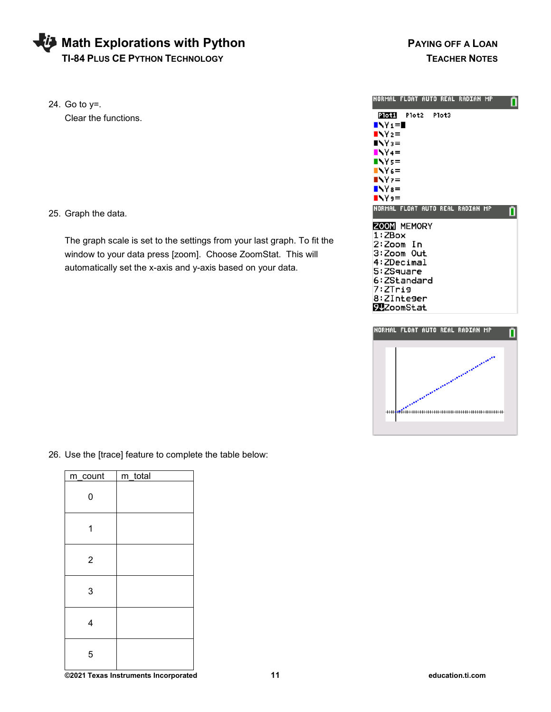# **Math Explorations with Python PAYING OFF A LOAN TI-84 PLUS CE PYTHON TECHNOLOGY TEACHER NOTES**

24. Go to y=. Clear the functions.

25. Graph the data.

The graph scale is set to the settings from your last graph. To fit the window to your data press [zoom]. Choose ZoomStat. This will automatically set the x-axis and y-axis based on your data.





26. Use the [trace] feature to complete the table below:

| m_count        | m_total |
|----------------|---------|
| 0              |         |
|                |         |
| $\overline{2}$ |         |
| 3              |         |
| 4              |         |
| 5              |         |

**©2021 Texas Instruments Incorporated 11 education.ti.com**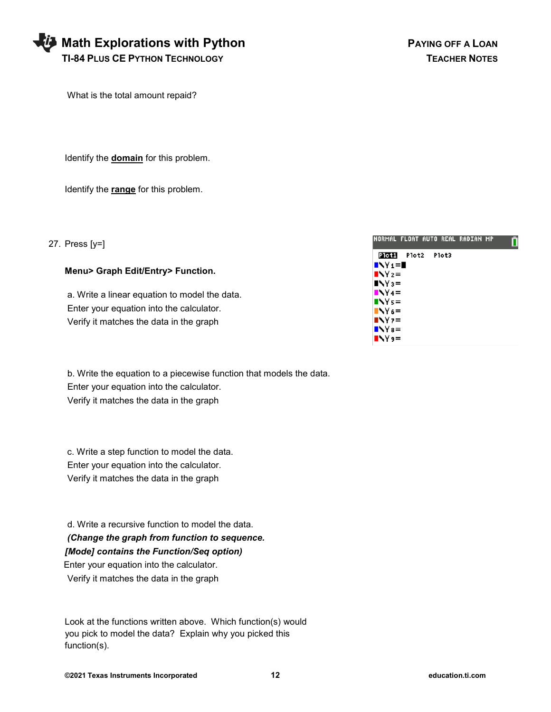| <b>Vi</b> Math Explorations with Python |
|-----------------------------------------|
| <b>TI-84 PLUS CE PYTHON TECHNOLOGY</b>  |

What is the total amount repaid?

Identify the **domain** for this problem.

Identify the **range** for this problem.

| 27. Press $[y=]$                                                                                                                     | INORMAL FLOAT AUTO REAL RADIAN MP                                    |
|--------------------------------------------------------------------------------------------------------------------------------------|----------------------------------------------------------------------|
| Menu> Graph Edit/Entry> Function.                                                                                                    | Plot1<br>Plot2<br>Plot3<br>$\blacksquare$<br>N <sub>2</sub><br>$N =$ |
| a. Write a linear equation to model the data.<br>Enter your equation into the calculator.<br>Verify it matches the data in the graph | $N4=$<br>$N =$<br>$N =$<br>$N =$<br>$N =$<br>$N =$                   |

 b. Write the equation to a piecewise function that models the data. Enter your equation into the calculator. Verify it matches the data in the graph

 c. Write a step function to model the data. Enter your equation into the calculator. Verify it matches the data in the graph

 d. Write a recursive function to model the data. *(Change the graph from function to sequence. [Mode] contains the Function/Seq option)* Enter your equation into the calculator.

Verify it matches the data in the graph

 Look at the functions written above. Which function(s) would you pick to model the data? Explain why you picked this function(s).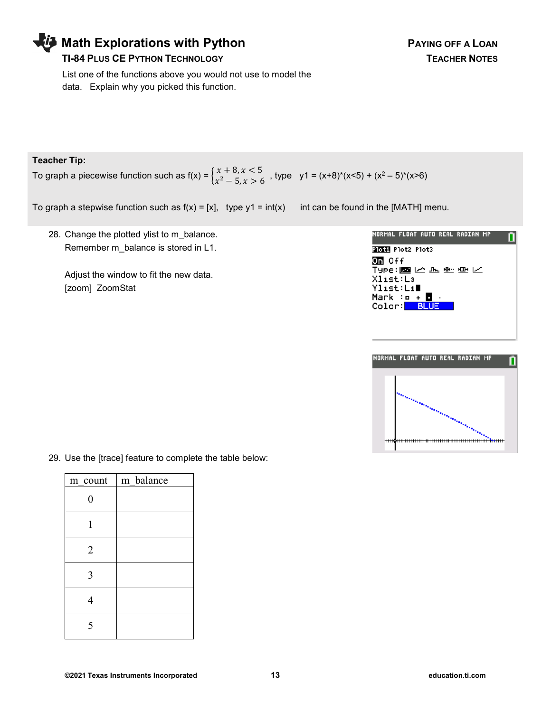## **Math Explorations with Python Property Constructs A PAYING OFF A LOAN**

### **TI-84 PLUS CE PYTHON TECHNOLOGY TEACHER NOTES**

 List one of the functions above you would not use to model the data. Explain why you picked this function.

#### **Teacher Tip:**

To graph a piecewise function such as f(x) =  $\begin{cases} x + 8, x < 5 \\ x^2 - 5, x > 6 \end{cases}$  $x^2 - 5$ ,  $x > 6$ , type  $y1 = (x+8)^*(x<5) + (x^2 - 5)^*(x>6)$ 

To graph a stepwise function such as  $f(x) = [x]$ , type  $y1 = int(x)$  int can be found in the [MATH] menu.

28. Change the plotted ylist to m\_balance. Remember m\_balance is stored in L1.

Adjust the window to fit the new data. [zoom] ZoomStat

| NORMAL FLOAT AUTO REAL RADIAN MP               |
|------------------------------------------------|
| PIOLI Plot2 Plot3                              |
| Oπ Off                                         |
| Type:國区區所更区                                    |
| Xlist:La                                       |
| Ylist∶Lı∎                                      |
| Mark :o + <b>O</b><br>Color: <mark>BLUE</mark> |
|                                                |
|                                                |
|                                                |



29. Use the [trace] feature to complete the table below:

| m count        | m balance |
|----------------|-----------|
| 0              |           |
|                |           |
| $\overline{2}$ |           |
| 3              |           |
|                |           |
|                |           |